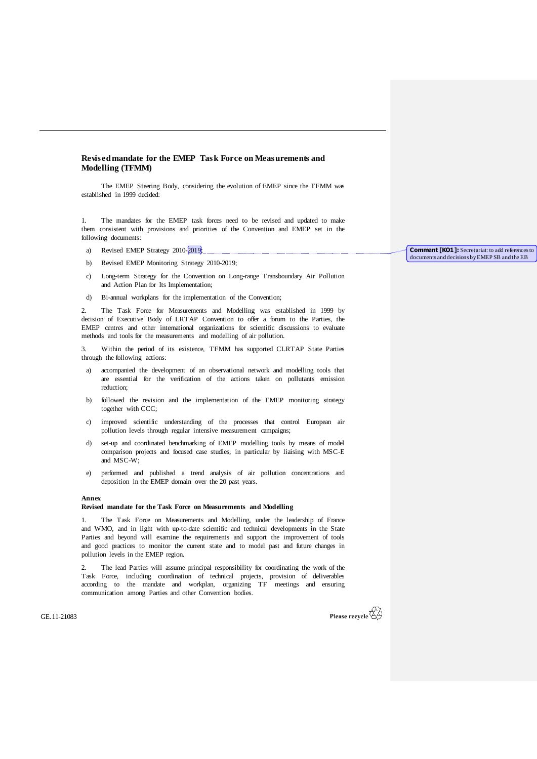## **Revised mandate for the EMEP Task Force on Measurements and Modelling (TFMM)**

The EMEP Steering Body, considering the evolution of EMEP since the TFMM was established in 1999 decided:

1. The mandates for the EMEP task forces need to be revised and updated to make them consistent with provisions and priorities of the Convention and EMEP set in the following documents:

- a) Revised EMEP Strategy  $2010-2019$ ;
- b) Revised EMEP Monitoring Strategy 2010-2019;
- c) Long-term Strategy for the Convention on Long-range Transboundary Air Pollution and Action Plan for Its Implementation;
- d) Bi-annual workplans for the implementation of the Convention;

2. The Task Force for Measurements and Modelling was established in 1999 by decision of Executive Body of LRTAP Convention to offer a forum to the Parties, the EMEP centres and other international organizations for scientific discussions to evaluate methods and tools for the measurements and modelling of air pollution.

3. Within the period of its existence, TFMM has supported CLRTAP State Parties through the following actions:

- a) accompanied the development of an observational network and modelling tools that are essential for the verification of the actions taken on pollutants emission reduction;
- b) followed the revision and the implementation of the EMEP monitoring strategy together with CCC;
- improved scientific understanding of the processes that control European air pollution levels through regular intensive measurement campaigns;
- d) set-up and coordinated benchmarking of EMEP modelling tools by means of model comparison projects and focused case studies, in particular by liaising with MSC-E and MSC-W;
- e) performed and published a trend analysis of air pollution concentrations and deposition in the EMEP domain over the 20 past years.

## **Annex**

## **Revised mandate for the Task Force on Measurements and Modelling**

1. The Task Force on Measurements and Modelling, under the leadership of France and WMO, and in light with up-to-date scientific and technical developments in the State Parties and beyond will examine the requirements and support the improvement of tools and good practices to monitor the current state and to model past and future changes in pollution levels in the EMEP region.

2. The lead Parties will assume principal responsibility for coordinating the work of the Task Force, including coordination of technical projects, provision of deliverables according to the mandate and workplan, organizing TF meetings and ensuring communication among Parties and other Convention bodies.

GE.11-21083



**Comment [KO1]:** Secretariat: to add references to documents and decisions by EMEP SB and the EB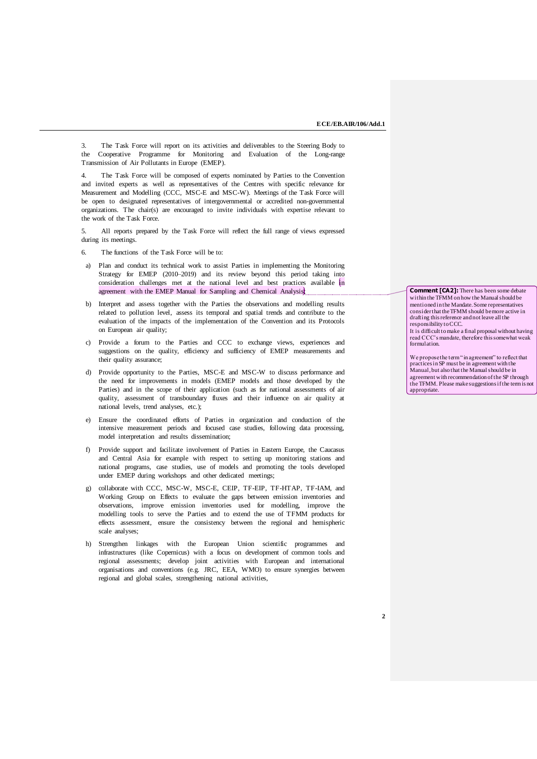3. The Task Force will report on its activities and deliverables to the Steering Body to the Cooperative Programme for Monitoring and Evaluation of the Long-range Transmission of Air Pollutants in Europe (EMEP).

4. The Task Force will be composed of experts nominated by Parties to the Convention and invited experts as well as representatives of the Centres with specific relevance for Measurement and Modelling (CCC, MSC-E and MSC-W). Meetings of the Task Force will be open to designated representatives of intergovernmental or accredited non-governmental organizations. The chair(s) are encouraged to invite individuals with expertise relevant to the work of the Task Force.

5. All reports prepared by the Task Force will reflect the full range of views expressed during its meetings.

- 6. The functions of the Task Force will be to:
- a) Plan and conduct its technical work to assist Parties in implementing the Monitoring Strategy for EMEP (2010–2019) and its review beyond this period taking into consideration challenges met at the national level and best practices available in agreement with the EMEP Manual for Sampling and Chemical Analysis)
- b) Interpret and assess together with the Parties the observations and modelling results related to pollution level, assess its temporal and spatial trends and contribute to the evaluation of the impacts of the implementation of the Convention and its Protocols on European air quality;
- c) Provide a forum to the Parties and CCC to exchange views, experiences and suggestions on the quality, efficiency and sufficiency of EMEP measurements and their quality assurance;
- d) Provide opportunity to the Parties, MSC-E and MSC-W to discuss performance and the need for improvements in models (EMEP models and those developed by the Parties) and in the scope of their application (such as for national assessments of air quality, assessment of transboundary fluxes and their influence on air quality at national levels, trend analyses, etc.);
- e) Ensure the coordinated efforts of Parties in organization and conduction of the intensive measurement periods and focused case studies, following data processing, model interpretation and results dissemination;
- f) Provide support and facilitate involvement of Parties in Eastern Europe, the Caucasus and Central Asia for example with respect to setting up monitoring stations and national programs, case studies, use of models and promoting the tools developed under EMEP during workshops and other dedicated meetings;
- g) collaborate with CCC, MSC-W, MSC-E, CEIP, TF-EIP, TF-HTAP, TF-IAM, and Working Group on Effects to evaluate the gaps between emission inventories and observations, improve emission inventories used for modelling, improve the modelling tools to serve the Parties and to extend the use of TFMM products for effects assessment, ensure the consistency between the regional and hemispheric scale analyses;
- h) Strengthen linkages with the European Union scientific programmes and infrastructures (like Copernicus) with a focus on development of common tools and regional assessments; develop joint activities with European and international organisations and conventions (e.g. JRC, EEA, WMO) to ensure synergies between regional and global scales, strengthening national activities,

**Comment [CA2]:** There has been some debate within the TFMM on how the Manual should be mentioned in the Mandate. Some representatives consider that the TFMM should be more active in drafting this reference and not leave all the responsibility to CCC.

It is difficult to make a final proposal without having read CCC's mandate, therefore this somewhat weak formulation.

We propose the term "in agreement" to reflect that practices in SP must be in agreement with the Manual, but also that the Manual should be in agreement with recommendation of the SP through the TFMM. Please make suggestions if the term is not appropriate.